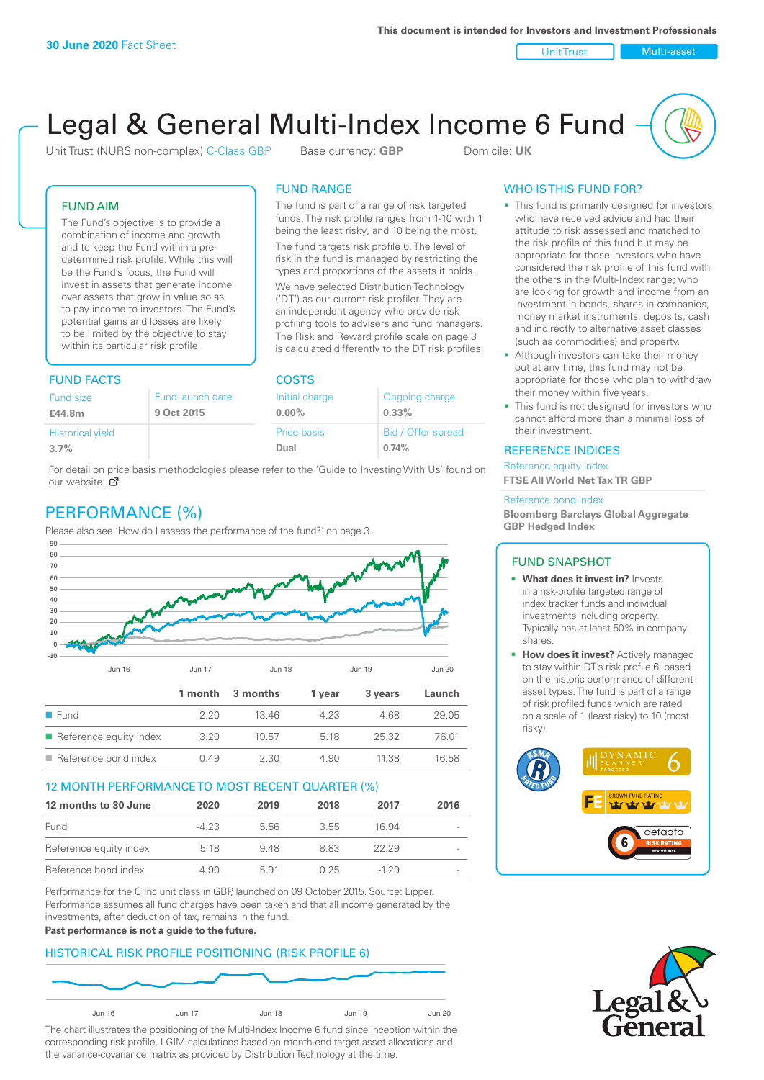Unit Trust Nulti-asset

# Legal & General Multi-Index Income 6 Fund

Unit Trust (NURS non-complex) C-Class GBP Base currency: **GBP** Domicile: UK

The fund is part of a range of risk targeted funds. The risk profile ranges from 1-10 with 1 being the least risky, and 10 being the most. The fund targets risk profile 6. The level of risk in the fund is managed by restricting the types and proportions of the assets it holds. We have selected Distribution Technology ('DT') as our current risk profiler. They are an independent agency who provide risk profiling tools to advisers and fund managers. The Risk and Reward profile scale on page 3 is calculated differently to the DT risk profiles.

FUND RANGE

Offer spread

#### FUND AIM

The Fund's objective is to provide a combination of income and growth and to keep the Fund within a predetermined risk profile. While this will be the Fund's focus, the Fund will invest in assets that generate income over assets that grow in value so as to pay income to investors. The Fund's potential gains and losses are likely to be limited by the objective to stay within its particular risk profile.

#### FUND FACTS COSTS

| Fund size               | Fund launch date | Initial charge | Ongoing charge    |  |
|-------------------------|------------------|----------------|-------------------|--|
| £44.8m                  | 9 Oct 2015       | $0.00\%$       | $0.33\%$          |  |
| <b>Historical yield</b> |                  | Price basis    | Bid / Offer sprea |  |
| 3.7%                    |                  | Dual           | 0.74%             |  |

For detail on price basis methodologies please refer to the 'Guide to Investing With Us' found on our website. Ø

# PERFORMANCE (%)

Please also see 'How do I assess the performance of the fund?' on page 3.



#### 12 MONTH PERFORMANCE TO MOST RECENT QUARTER (%)

| 12 months to 30 June   | 2020   | 2019 | 2018 | 2017  | 2016           |
|------------------------|--------|------|------|-------|----------------|
| Fund                   | $-423$ | 5.56 | 3.55 | 16.94 | $\overline{a}$ |
| Reference equity index | 5.18   | 9.48 | 883  | 22.29 | $\overline{a}$ |
| Reference bond index   | 4.90   | 591  | 0.25 | -1 29 |                |

Performance for the C Inc unit class in GBP, launched on 09 October 2015. Source: Lipper. Performance assumes all fund charges have been taken and that all income generated by the investments, after deduction of tax, remains in the fund.

#### **Past performance is not a guide to the future.**

#### HISTORICAL RISK PROFILE POSITIONING (RISK PROFILE 6)



The chart illustrates the positioning of the Multi-Index Income 6 fund since inception within the corresponding risk profile. LGIM calculations based on month-end target asset allocations and the variance-covariance matrix as provided by Distribution Technology at the time.

#### WHO IS THIS FUND FOR?

- This fund is primarily designed for investors: who have received advice and had their attitude to risk assessed and matched to the risk profile of this fund but may be appropriate for those investors who have considered the risk profile of this fund with the others in the Multi-Index range; who are looking for growth and income from an investment in bonds, shares in companies, money market instruments, deposits, cash and indirectly to alternative asset classes (such as commodities) and property.
- Although investors can take their money out at any time, this fund may not be appropriate for those who plan to withdraw their money within five years.
- This fund is not designed for investors who cannot afford more than a minimal loss of their investment.

#### REFERENCE INDICES

Reference equity index **FTSE All World Net Tax TR GBP**

#### Reference bond index

**Bloomberg Barclays Global Aggregate GBP Hedged Index**

#### FUND SNAPSHOT

- **• What does it invest in?** Invests in a risk-profile targeted range of index tracker funds and individual investments including property. Typically has at least 50% in company shares.
- **• How does it invest?** Actively managed to stay within DT's risk profile 6, based on the historic performance of different asset types. The fund is part of a range of risk profiled funds which are rated on a scale of 1 (least risky) to 10 (most risky).



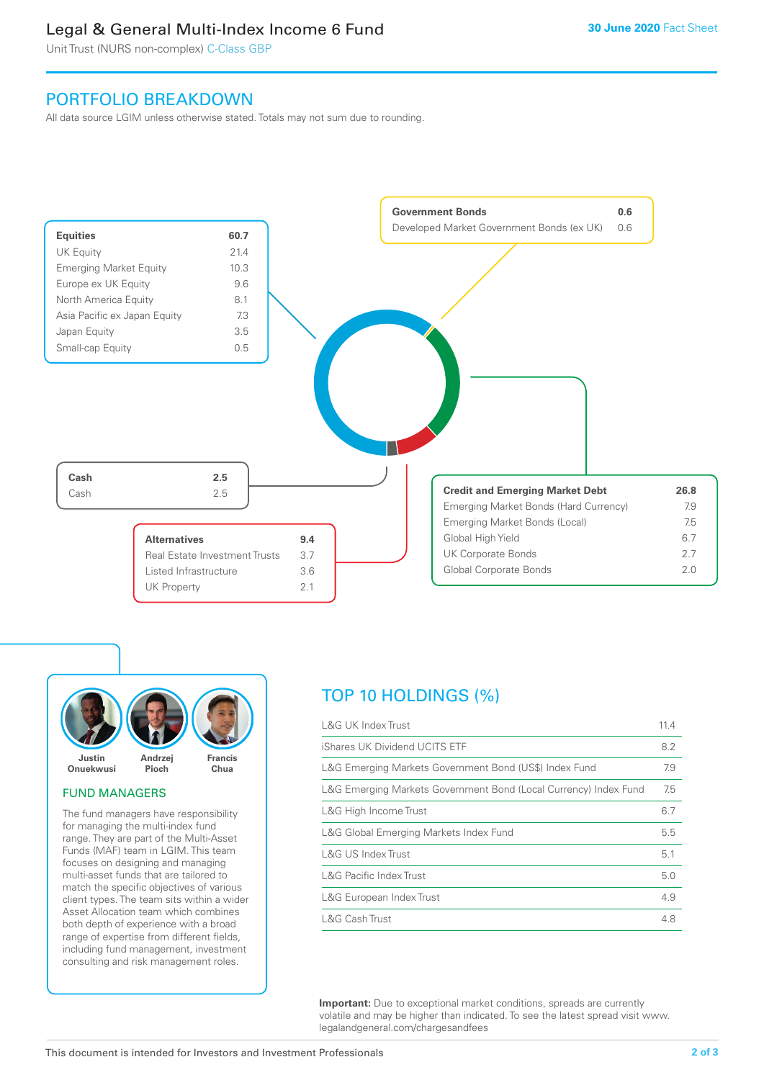## Legal & General Multi-Index Income 6 Fund

Unit Trust (NURS non-complex) C-Class GBP

## PORTFOLIO BREAKDOWN

All data source LGIM unless otherwise stated. Totals may not sum due to rounding.





#### FUND MANAGERS

The fund managers have responsibility for managing the multi-index fund range. They are part of the Multi-Asset Funds (MAF) team in LGIM. This team focuses on designing and managing multi-asset funds that are tailored to match the specific objectives of various client types. The team sits within a wider Asset Allocation team which combines both depth of experience with a broad range of expertise from different fields, including fund management, investment consulting and risk management roles.

# TOP 10 HOLDINGS (%)

| <b>L&amp;G UK Index Trust</b>                                    | 11.4 |
|------------------------------------------------------------------|------|
| iShares UK Dividend UCITS ETF                                    | 8.2  |
| L&G Emerging Markets Government Bond (US\$) Index Fund           | 7.9  |
| L&G Emerging Markets Government Bond (Local Currency) Index Fund | 7.5  |
| L&G High Income Trust                                            | 6.7  |
| L&G Global Emerging Markets Index Fund                           | 5.5  |
| L&G US Index Trust                                               | 5.1  |
| <b>L&amp;G Pacific Index Trust</b>                               | 5.0  |
| L&G European Index Trust                                         | 4.9  |
| L&G Cash Trust                                                   | 4.8  |

**Important:** Due to exceptional market conditions, spreads are currently volatile and may be higher than indicated. To see the latest spread visit www. legalandgeneral.com/chargesandfees